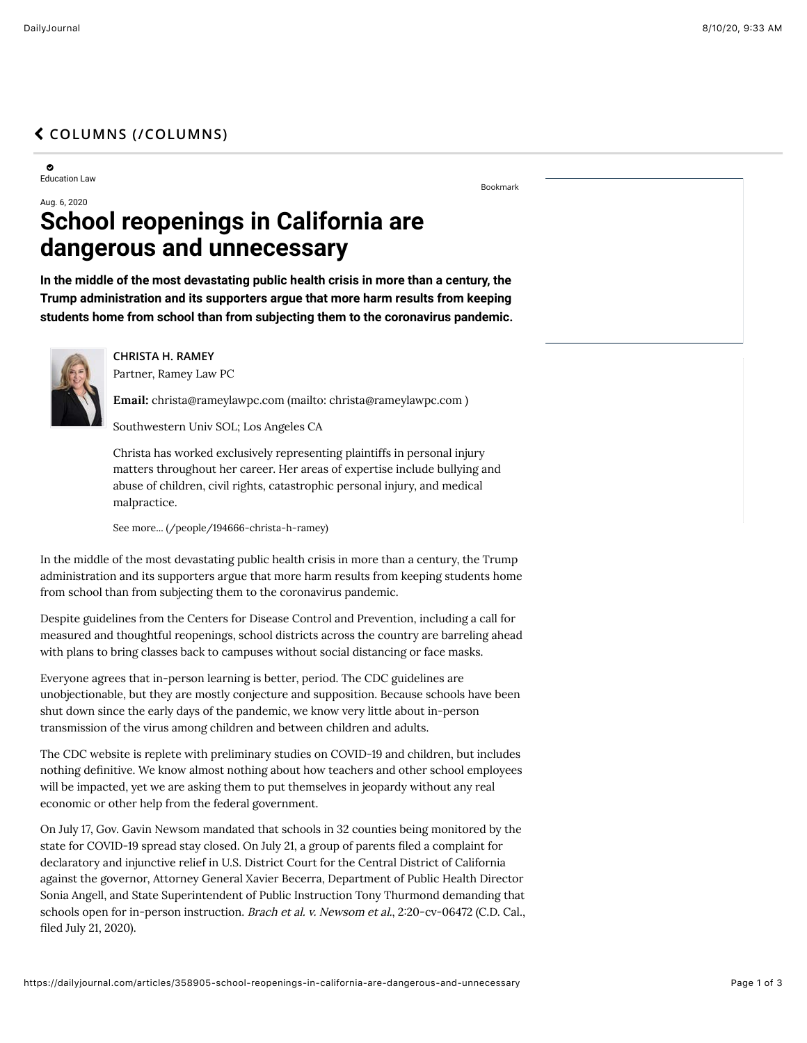## " **[COLUMNS \(/COLUMNS\)](https://dailyjournal.com/columns)**

0 Education Law

[Bookmark](https://dailyjournal.com/articles/358905-school-reopenings-in-california-are-dangerous-and-unnecessary%23)

## Aug. 6, 2020 **School reopenings in California are dangerous and unnecessary**

**In the middle of the most devastating public health crisis in more than a century, the Trump administration and its supporters argue that more harm results from keeping students home from school than from subjecting them to the coronavirus pandemic.**



**CHRISTA H. RAMEY**

Partner, Ramey Law PC

Email: [christa@rameylawpc.com \(mailto: christa@rameylawpc.com \)](mailto:%20christa@rameylawpc.com)

Southwestern Univ SOL; Los Angeles CA

Christa has worked exclusively representing plaintiffs in personal injury matters throughout her career. Her areas of expertise include bullying and abuse of children, civil rights, catastrophic personal injury, and medical malpractice.

[See more... \(/people/194666-christa-h-ramey\)](https://dailyjournal.com/people/194666-christa-h-ramey)

In the middle of the most devastating public health crisis in more than a century, the Trump administration and its supporters argue that more harm results from keeping students home from school than from subjecting them to the coronavirus pandemic.

Despite guidelines from the Centers for Disease Control and Prevention, including a call for measured and thoughtful reopenings, school districts across the country are barreling ahead with plans to bring classes back to campuses without social distancing or face masks.

Everyone agrees that in-person learning is better, period. The CDC guidelines are unobjectionable, but they are mostly conjecture and supposition. Because schools have been shut down since the early days of the pandemic, we know very little about in-person transmission of the virus among children and between children and adults.

The CDC website is replete with preliminary studies on COVID-19 and children, but includes nothing definitive. We know almost nothing about how teachers and other school employees will be impacted, yet we are asking them to put themselves in jeopardy without any real economic or other help from the federal government.

On July 17, Gov. Gavin Newsom mandated that schools in 32 counties being monitored by the state for COVID-19 spread stay closed. On July 21, a group of parents filed a complaint for declaratory and injunctive relief in U.S. District Court for the Central District of California against the governor, Attorney General Xavier Becerra, Department of Public Health Director Sonia Angell, and State Superintendent of Public Instruction Tony Thurmond demanding that schools open for in-person instruction. Brach et al. v. Newsom et al., 2:20-cv-06472 (C.D. Cal., filed July 21, 2020).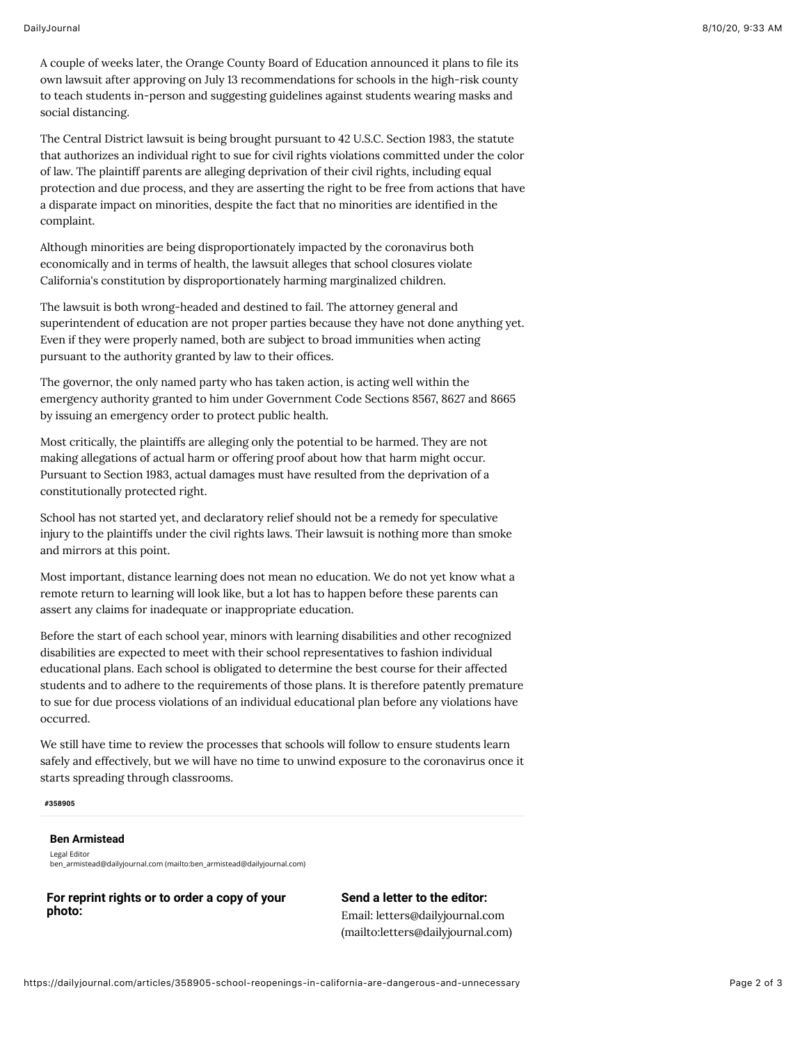A couple of weeks later, the Orange County Board of Education announced it plans to file its own lawsuit after approving on July 13 recommendations for schools in the high-risk county to teach students in-person and suggesting guidelines against students wearing masks and social distancing.

The Central District lawsuit is being brought pursuant to 42 U.S.C. Section 1983, the statute that authorizes an individual right to sue for civil rights violations committed under the color of law. The plaintiff parents are alleging deprivation of their civil rights, including equal protection and due process, and they are asserting the right to be free from actions that have a disparate impact on minorities, despite the fact that no minorities are identified in the complaint.

Although minorities are being disproportionately impacted by the coronavirus both economically and in terms of health, the lawsuit alleges that school closures violate California's constitution by disproportionately harming marginalized children.

The lawsuit is both wrong-headed and destined to fail. The attorney general and superintendent of education are not proper parties because they have not done anything yet. Even if they were properly named, both are subject to broad immunities when acting pursuant to the authority granted by law to their offices.

The governor, the only named party who has taken action, is acting well within the emergency authority granted to him under Government Code Sections 8567, 8627 and 8665 by issuing an emergency order to protect public health.

Most critically, the plaintiffs are alleging only the potential to be harmed. They are not making allegations of actual harm or offering proof about how that harm might occur. Pursuant to Section 1983, actual damages must have resulted from the deprivation of a constitutionally protected right.

School has not started yet, and declaratory relief should not be a remedy for speculative injury to the plaintiffs under the civil rights laws. Their lawsuit is nothing more than smoke and mirrors at this point.

Most important, distance learning does not mean no education. We do not yet know what a remote return to learning will look like, but a lot has to happen before these parents can assert any claims for inadequate or inappropriate education.

Before the start of each school year, minors with learning disabilities and other recognized disabilities are expected to meet with their school representatives to fashion individual educational plans. Each school is obligated to determine the best course for their affected students and to adhere to the requirements of those plans. It is therefore patently premature to sue for due process violations of an individual educational plan before any violations have occurred.

We still have time to review the processes that schools will follow to ensure students learn safely and effectively, but we will have no time to unwind exposure to the coronavirus once it starts spreading through classrooms.

## **#358905**

## **Ben Armistead**

Legal Editor [ben\\_armistead@dailyjournal.com \(mailto:ben\\_armistead@dailyjournal.com\)](mailto:ben_armistead@dailyjournal.com)

**For reprint rights or to order a copy of your photo:**

**Send a letter to the editor:** Email: letters@dailyjournal.com [\(mailto:letters@dailyjournal.com\)](mailto:letters@dailyjournal.com)